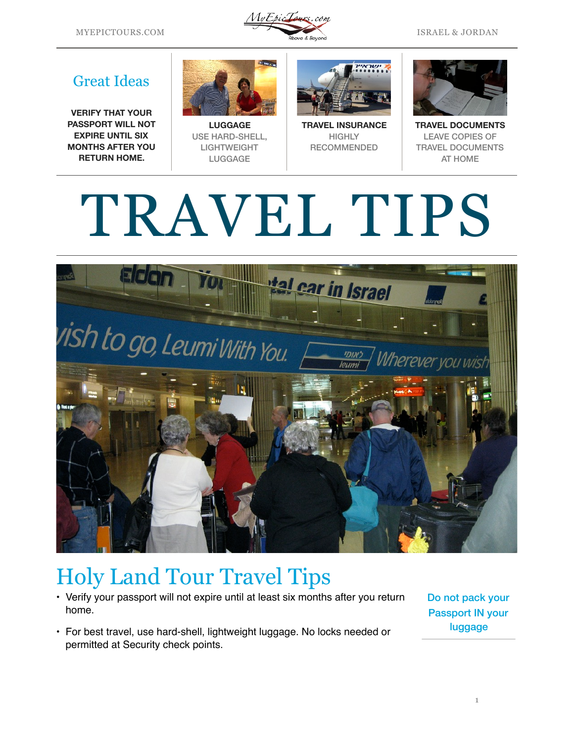

## Great Ideas

**VERIFY THAT YOUR PASSPORT WILL NOT EXPIRE UNTIL SIX MONTHS AFTER YOU RETURN HOME.**



**LUGGAGE**  USE HARD-SHELL, LIGHTWEIGHT LUGGAGE



**TRAVEL INSURANCE HIGHLY** RECOMMENDED



**TRAVEL DOCUMENTS**  LEAVE COPIES OF TRAVEL DOCUMENTS AT HOME

## TRAVEL TIPS



## Holy Land Tour Travel Tips

- Verify your passport will not expire until at least six months after you return home.
- For best travel, use hard-shell, lightweight luggage. No locks needed or permitted at Security check points.

Do not pack your Passport IN your luggage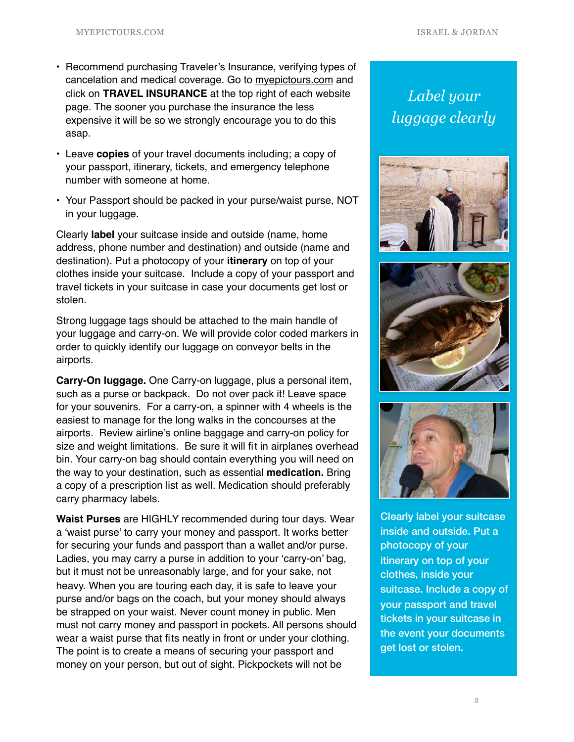- Recommend purchasing Traveler's Insurance, verifying types of cancelation and medical coverage. Go to [myepictours.com](http://myepictours.com) and click on **TRAVEL INSURANCE** at the top right of each website page. The sooner you purchase the insurance the less expensive it will be so we strongly encourage you to do this asap.
- Leave **copies** of your travel documents including; a copy of your passport, itinerary, tickets, and emergency telephone number with someone at home.
- Your Passport should be packed in your purse/waist purse, NOT in your luggage.

Clearly **label** your suitcase inside and outside (name, home address, phone number and destination) and outside (name and destination). Put a photocopy of your **itinerary** on top of your clothes inside your suitcase. Include a copy of your passport and travel tickets in your suitcase in case your documents get lost or stolen.

Strong luggage tags should be attached to the main handle of your luggage and carry-on. We will provide color coded markers in order to quickly identify our luggage on conveyor belts in the airports.

**Carry-On luggage.** One Carry-on luggage, plus a personal item, such as a purse or backpack. Do not over pack it! Leave space for your souvenirs. For a carry-on, a spinner with 4 wheels is the easiest to manage for the long walks in the concourses at the airports. Review airline's online baggage and carry-on policy for size and weight limitations. Be sure it will fit in airplanes overhead bin. Your carry-on bag should contain everything you will need on the way to your destination, such as essential **medication.** Bring a copy of a prescription list as well. Medication should preferably carry pharmacy labels.

**Waist Purses** are HIGHLY recommended during tour days. Wear a 'waist purse' to carry your money and passport. It works better for securing your funds and passport than a wallet and/or purse. Ladies, you may carry a purse in addition to your 'carry-on' bag, but it must not be unreasonably large, and for your sake, not heavy. When you are touring each day, it is safe to leave your purse and/or bags on the coach, but your money should always be strapped on your waist. Never count money in public. Men must not carry money and passport in pockets. All persons should wear a waist purse that fits neatly in front or under your clothing. The point is to create a means of securing your passport and money on your person, but out of sight. Pickpockets will not be

*Label your luggage clearly*







Clearly label your suitcase inside and outside. Put a photocopy of your itinerary on top of your clothes, inside your suitcase. Include a copy of your passport and travel tickets in your suitcase in the event your documents get lost or stolen.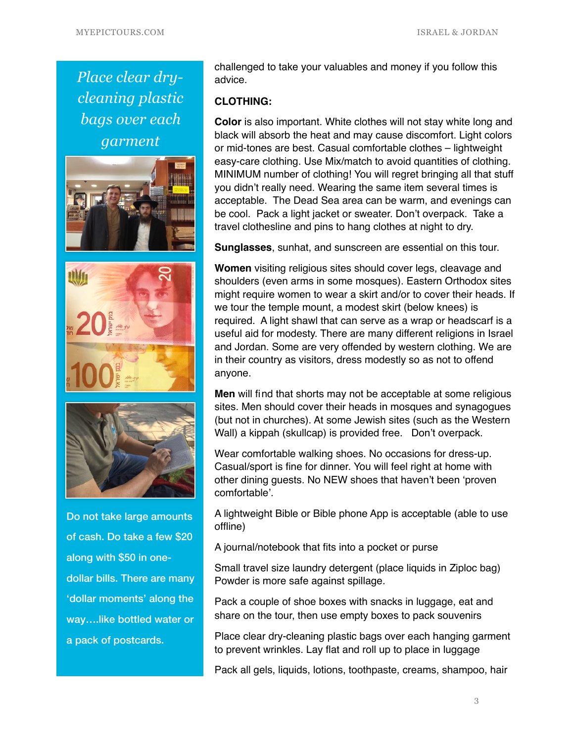*Place clear drycleaning plastic bags over each garment*





Do not take large amounts of cash. Do take a few \$20 along with \$50 in onedollar bills. There are many 'dollar moments' along the way….like bottled water or a pack of postcards.

challenged to take your valuables and money if you follow this advice.

## **CLOTHING:**

**Color** is also important. White clothes will not stay white long and black will absorb the heat and may cause discomfort. Light colors or mid-tones are best. Casual comfortable clothes – lightweight easy-care clothing. Use Mix/match to avoid quantities of clothing. MINIMUM number of clothing! You will regret bringing all that stuff you didn't really need. Wearing the same item several times is acceptable. The Dead Sea area can be warm, and evenings can be cool. Pack a light jacket or sweater. Don't overpack.Take a travel clothesline and pins to hang clothes at night to dry.

**Sunglasses**, sunhat, and sunscreen are essential on this tour.

**Women** visiting religious sites should cover legs, cleavage and shoulders (even arms in some mosques). Eastern Orthodox sites might require women to wear a skirt and/or to cover their heads. If we tour the temple mount, a modest skirt (below knees) is required. A light shawl that can serve as a wrap or headscarf is a useful aid for modesty. There are many different religions in Israel and Jordan. Some are very offended by western clothing. We are in their country as visitors, dress modestly so as not to offend anyone.

**Men** will find that shorts may not be acceptable at some religious sites. Men should cover their heads in mosques and synagogues (but not in churches). At some Jewish sites (such as the Western Wall) a kippah (skullcap) is provided free. Don't overpack.

Wear comfortable walking shoes. No occasions for dress-up. Casual/sport is fine for dinner. You will feel right at home with other dining guests. No NEW shoes that haven't been 'proven comfortable'.

A lightweight Bible or Bible phone App is acceptable (able to use offline)

A journal/notebook that fits into a pocket or purse

Small travel size laundry detergent (place liquids in Ziploc bag) Powder is more safe against spillage.

Pack a couple of shoe boxes with snacks in luggage, eat and share on the tour, then use empty boxes to pack souvenirs

Place clear dry-cleaning plastic bags over each hanging garment to prevent wrinkles. Lay flat and roll up to place in luggage

Pack all gels, liquids, lotions, toothpaste, creams, shampoo, hair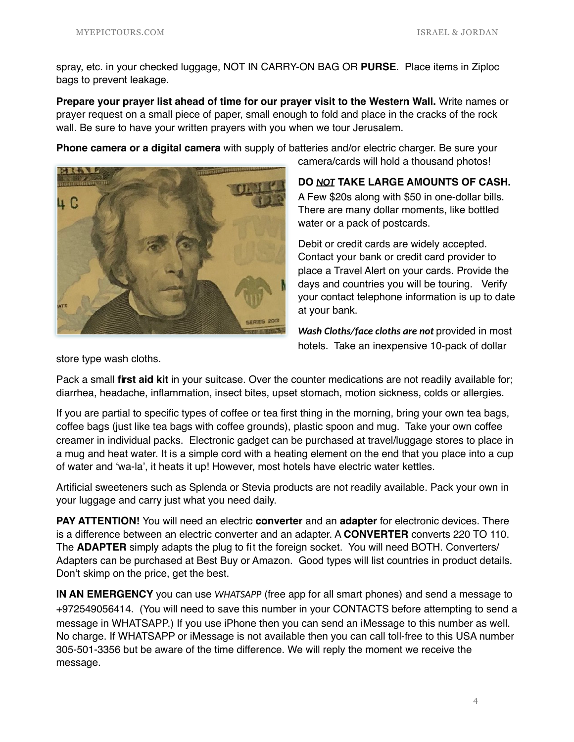spray, etc. in your checked luggage, NOT IN CARRY-ON BAG OR **PURSE**. Place items in Ziploc bags to prevent leakage.

**Prepare your prayer list ahead of time for our prayer visit to the Western Wall.** Write names or prayer request on a small piece of paper, small enough to fold and place in the cracks of the rock wall. Be sure to have your written prayers with you when we tour Jerusalem.

**Phone camera or a digital camera** with supply of batteries and/or electric charger. Be sure your



camera/cards will hold a thousand photos!

**DO** *NOT* **TAKE LARGE AMOUNTS OF CASH.**  A Few \$20s along with \$50 in one-dollar bills. There are many dollar moments, like bottled water or a pack of postcards.

Debit or credit cards are widely accepted. Contact your bank or credit card provider to place a Travel Alert on your cards. Provide the days and countries you will be touring. Verify your contact telephone information is up to date at your bank.

*Wash Cloths/face cloths are not* provided in most hotels. Take an inexpensive 10-pack of dollar

store type wash cloths.

Pack a small **first aid kit** in your suitcase. Over the counter medications are not readily available for; diarrhea, headache, inflammation, insect bites, upset stomach, motion sickness, colds or allergies.

If you are partial to specific types of coffee or tea first thing in the morning, bring your own tea bags, coffee bags (just like tea bags with coffee grounds), plastic spoon and mug. Take your own coffee creamer in individual packs. Electronic gadget can be purchased at travel/luggage stores to place in a mug and heat water. It is a simple cord with a heating element on the end that you place into a cup of water and 'wa-la', it heats it up! However, most hotels have electric water kettles.

Artificial sweeteners such as Splenda or Stevia products are not readily available. Pack your own in your luggage and carry just what you need daily.

**PAY ATTENTION!** You will need an electric **converter** and an **adapter** for electronic devices. There is a difference between an electric converter and an adapter. A **CONVERTER** converts 220 TO 110. The **ADAPTER** simply adapts the plug to fit the foreign socket. You will need BOTH. Converters/ Adapters can be purchased at Best Buy or Amazon. Good types will list countries in product details. Don't skimp on the price, get the best.

**IN AN EMERGENCY** you can use *WHATSAPP* (free app for all smart phones) and send a message to +972549056414. (You will need to save this number in your CONTACTS before attempting to send a message in WHATSAPP.) If you use iPhone then you can send an iMessage to this number as well. No charge. If WHATSAPP or iMessage is not available then you can call toll-free to this USA number 305-501-3356 but be aware of the time difference. We will reply the moment we receive the message.